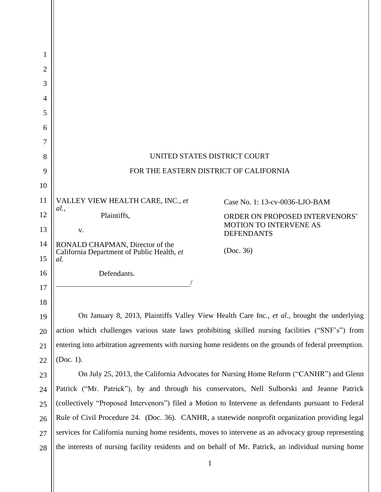| 1              |                                                                                                        |                                                    |
|----------------|--------------------------------------------------------------------------------------------------------|----------------------------------------------------|
| $\overline{2}$ |                                                                                                        |                                                    |
| 3              |                                                                                                        |                                                    |
| 4              |                                                                                                        |                                                    |
| 5              |                                                                                                        |                                                    |
| 6              |                                                                                                        |                                                    |
| 7              |                                                                                                        |                                                    |
| 8              | UNITED STATES DISTRICT COURT                                                                           |                                                    |
| 9              | FOR THE EASTERN DISTRICT OF CALIFORNIA                                                                 |                                                    |
| 10             |                                                                                                        |                                                    |
| 11             | VALLEY VIEW HEALTH CARE, INC., et                                                                      | Case No. 1: 13-cv-0036-LJO-BAM                     |
| 12             | <i>al.</i> ,<br>Plaintiffs,                                                                            | ORDER ON PROPOSED INTERVENORS'                     |
| 13             | V.                                                                                                     | <b>MOTION TO INTERVENE AS</b><br><b>DEFENDANTS</b> |
| 14             | RONALD CHAPMAN, Director of the                                                                        | (Doc. 36)                                          |
| 15             | California Department of Public Health, et<br>al.                                                      |                                                    |
| 16             | Defendants.                                                                                            |                                                    |
| 17             |                                                                                                        |                                                    |
| 18             |                                                                                                        |                                                    |
| 19             | On January 8, 2013, Plaintiffs Valley View Health Care Inc., et al., brought the underlying            |                                                    |
| 20             | action which challenges various state laws prohibiting skilled nursing facilities ("SNF's") from       |                                                    |
| 21             | entering into arbitration agreements with nursing home residents on the grounds of federal preemption. |                                                    |
| 22             | (Doc. 1).                                                                                              |                                                    |
| 23             | On July 25, 2013, the California Advocates for Nursing Home Reform ("CANHR") and Glenn                 |                                                    |
| 24             | Patrick ("Mr. Patrick"), by and through his conservators, Nell Sulborski and Jeanne Patrick            |                                                    |
| 25             | (collectively "Proposed Intervenors") filed a Motion to Intervene as defendants pursuant to Federal    |                                                    |
| 26             | Rule of Civil Procedure 24. (Doc. 36). CANHR, a statewide nonprofit organization providing legal       |                                                    |
| 27             | services for California nursing home residents, moves to intervene as an advocacy group representing   |                                                    |
| 28             | the interests of nursing facility residents and on behalf of Mr. Patrick, an individual nursing home   |                                                    |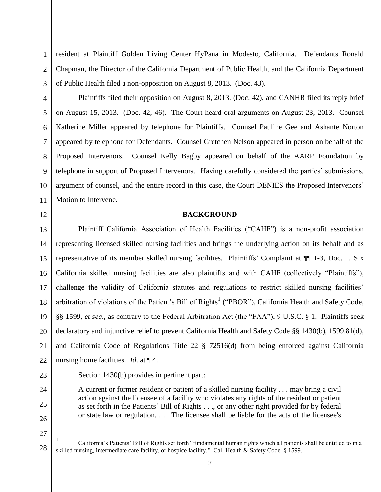resident at Plaintiff Golden Living Center HyPana in Modesto, California. Defendants Ronald Chapman, the Director of the California Department of Public Health, and the California Department of Public Health filed a non-opposition on August 8, 2013. (Doc. 43).

6 7 8 10 Plaintiffs filed their opposition on August 8, 2013. (Doc. 42), and CANHR filed its reply brief on August 15, 2013. (Doc. 42, 46). The Court heard oral arguments on August 23, 2013. Counsel Katherine Miller appeared by telephone for Plaintiffs. Counsel Pauline Gee and Ashante Norton appeared by telephone for Defendants. Counsel Gretchen Nelson appeared in person on behalf of the Proposed Intervenors. Counsel Kelly Bagby appeared on behalf of the AARP Foundation by telephone in support of Proposed Intervenors. Having carefully considered the parties' submissions, argument of counsel, and the entire record in this case, the Court DENIES the Proposed Intervenors' Motion to Intervene.

### **BACKGROUND**

13 14 15 16 17 18 19 20 21 22 Plaintiff California Association of Health Facilities ("CAHF") is a non-profit association representing licensed skilled nursing facilities and brings the underlying action on its behalf and as representative of its member skilled nursing facilities. Plaintiffs' Complaint at ¶¶ 1-3, Doc. 1. Six California skilled nursing facilities are also plaintiffs and with CAHF (collectively "Plaintiffs"), challenge the validity of California statutes and regulations to restrict skilled nursing facilities' arbitration of violations of the Patient's Bill of Rights<sup>1</sup> ("PBOR"), California Health and Safety Code, §§ 1599, *et seq*., as contrary to the Federal Arbitration Act (the "FAA"), 9 U.S.C. § 1. Plaintiffs seek declaratory and injunctive relief to prevent California Health and Safety Code §§ 1430(b), 1599.81(d), and California Code of Regulations Title 22 § 72516(d) from being enforced against California nursing home facilities. *Id*. at ¶ 4.

23

24

25

26

1

2

3

4

5

9

11

12

Section 1430(b) provides in pertinent part:

A current or former resident or patient of a skilled nursing facility . . . may bring a civil action against the licensee of a facility who violates any rights of the resident or patient as set forth in the Patients' Bill of Rights . . ., or any other right provided for by federal or state law or regulation. . . . The licensee shall be liable for the acts of the licensee's

 $\overline{a}$ 

<sup>27</sup>

<sup>1</sup> California's Patients' Bill of Rights set forth "fundamental human rights which all patients shall be entitled to in a skilled nursing, intermediate care facility, or hospice facility." Cal. Health & Safety Code, § 1599.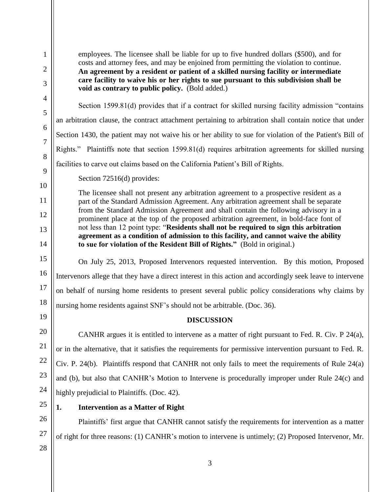employees. The licensee shall be liable for up to five hundred dollars (\$500), and for costs and attorney fees, and may be enjoined from permitting the violation to continue. **An agreement by a resident or patient of a skilled nursing facility or intermediate care facility to waive his or her rights to sue pursuant to this subdivision shall be void as contrary to public policy.** (Bold added.)

Section 1599.81(d) provides that if a contract for skilled nursing facility admission "contains an arbitration clause, the contract attachment pertaining to arbitration shall contain notice that under Section 1430, the patient may not waive his or her ability to sue for violation of the Patient's Bill of Rights." Plaintiffs note that section 1599.81(d) requires arbitration agreements for skilled nursing facilities to carve out claims based on the California Patient's Bill of Rights.

Section 72516(d) provides:

The licensee shall not present any arbitration agreement to a prospective resident as a part of the Standard Admission Agreement. Any arbitration agreement shall be separate from the Standard Admission Agreement and shall contain the following advisory in a prominent place at the top of the proposed arbitration agreement, in bold-face font of not less than 12 point type: "**Residents shall not be required to sign this arbitration agreement as a condition of admission to this facility, and cannot waive the ability to sue for violation of the Resident Bill of Rights."** (Bold in original.)

On July 25, 2013, Proposed Intervenors requested intervention. By this motion, Proposed Intervenors allege that they have a direct interest in this action and accordingly seek leave to intervene on behalf of nursing home residents to present several public policy considerations why claims by nursing home residents against SNF's should not be arbitrable. (Doc. 36).

**DISCUSSION**

CANHR argues it is entitled to intervene as a matter of right pursuant to Fed. R. Civ. P 24(a), or in the alternative, that it satisfies the requirements for permissive intervention pursuant to Fed. R. Civ. P. 24(b). Plaintiffs respond that CANHR not only fails to meet the requirements of Rule 24(a) and (b), but also that CANHR's Motion to Intervene is procedurally improper under Rule 24(c) and highly prejudicial to Plaintiffs. (Doc. 42).

# **1. Intervention as a Matter of Right**

Plaintiffs' first argue that CANHR cannot satisfy the requirements for intervention as a matter of right for three reasons: (1) CANHR's motion to intervene is untimely; (2) Proposed Intervenor, Mr.

28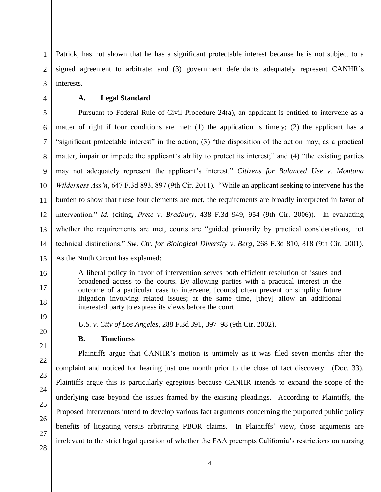3 Patrick, has not shown that he has a significant protectable interest because he is not subject to a signed agreement to arbitrate; and (3) government defendants adequately represent CANHR's interests.

**A. Legal Standard**

1

2

4

5 6 7 8 9 10 11 12 13 14 15 Pursuant to Federal Rule of Civil Procedure 24(a), an applicant is entitled to intervene as a matter of right if four conditions are met: (1) the application is timely; (2) the applicant has a "significant protectable interest" in the action; (3) "the disposition of the action may, as a practical matter, impair or impede the applicant's ability to protect its interest;" and (4) "the existing parties may not adequately represent the applicant's interest." *Citizens for Balanced Use v. Montana Wilderness Ass'n*, 647 F.3d 893, 897 (9th Cir. 2011). "While an applicant seeking to intervene has the burden to show that these four elements are met, the requirements are broadly interpreted in favor of intervention." *Id.* (citing, *Prete v. Bradbury*, 438 F.3d 949, 954 (9th Cir. 2006)). In evaluating whether the requirements are met, courts are "guided primarily by practical considerations, not technical distinctions." *Sw. Ctr. for Biological Diversity v. Berg*, 268 F.3d 810, 818 (9th Cir. 2001). As the Ninth Circuit has explained:

A liberal policy in favor of intervention serves both efficient resolution of issues and broadened access to the courts. By allowing parties with a practical interest in the outcome of a particular case to intervene, [courts] often prevent or simplify future litigation involving related issues; at the same time, [they] allow an additional interested party to express its views before the court.

*U.S. v. City of Los Angeles*, 288 F.3d 391, 397–98 (9th Cir. 2002).

## **B. Timeliness**

Plaintiffs argue that CANHR's motion is untimely as it was filed seven months after the complaint and noticed for hearing just one month prior to the close of fact discovery. (Doc. 33). Plaintiffs argue this is particularly egregious because CANHR intends to expand the scope of the underlying case beyond the issues framed by the existing pleadings. According to Plaintiffs, the Proposed Intervenors intend to develop various fact arguments concerning the purported public policy benefits of litigating versus arbitrating PBOR claims. In Plaintiffs' view, those arguments are irrelevant to the strict legal question of whether the FAA preempts California's restrictions on nursing

16

17

18

19

20

21

22

23

24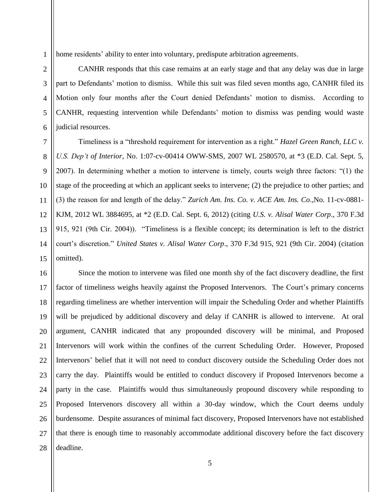home residents' ability to enter into voluntary, predispute arbitration agreements.

CANHR responds that this case remains at an early stage and that any delay was due in large part to Defendants' motion to dismiss. While this suit was filed seven months ago, CANHR filed its Motion only four months after the Court denied Defendants' motion to dismiss. According to CANHR, requesting intervention while Defendants' motion to dismiss was pending would waste judicial resources.

Timeliness is a "threshold requirement for intervention as a right." *Hazel Green Ranch, LLC v. U.S. Dep't of Interior*, No. 1:07-cv-00414 OWW-SMS, 2007 WL 2580570, at \*3 (E.D. Cal. Sept. 5, 2007). In determining whether a motion to intervene is timely, courts weigh three factors: "(1) the stage of the proceeding at which an applicant seeks to intervene; (2) the prejudice to other parties; and (3) the reason for and length of the delay." *Zurich Am. Ins. Co. v. ACE Am. Ins. Co*.,No. 11-cv-0881- KJM, 2012 WL 3884695, at \*2 (E.D. Cal. Sept. 6, 2012) (citing *U.S. v. Alisal Water Corp*., 370 F.3d 915, 921 (9th Cir. 2004)). "Timeliness is a flexible concept; its determination is left to the district court's discretion." *United States v. Alisal Water Corp*., 370 F.3d 915, 921 (9th Cir. 2004) (citation omitted).

27 28 Since the motion to intervene was filed one month shy of the fact discovery deadline, the first factor of timeliness weighs heavily against the Proposed Intervenors. The Court's primary concerns regarding timeliness are whether intervention will impair the Scheduling Order and whether Plaintiffs will be prejudiced by additional discovery and delay if CANHR is allowed to intervene. At oral argument, CANHR indicated that any propounded discovery will be minimal, and Proposed Intervenors will work within the confines of the current Scheduling Order. However, Proposed Intervenors' belief that it will not need to conduct discovery outside the Scheduling Order does not carry the day. Plaintiffs would be entitled to conduct discovery if Proposed Intervenors become a party in the case. Plaintiffs would thus simultaneously propound discovery while responding to Proposed Intervenors discovery all within a 30-day window, which the Court deems unduly burdensome. Despite assurances of minimal fact discovery, Proposed Intervenors have not established that there is enough time to reasonably accommodate additional discovery before the fact discovery deadline.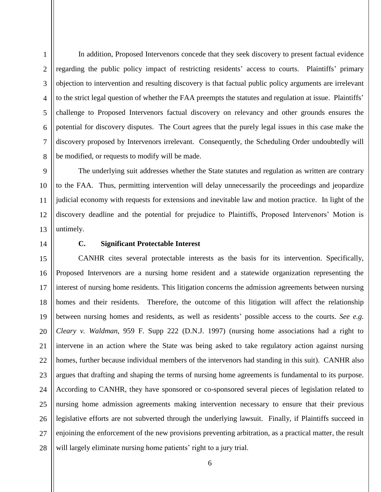In addition, Proposed Intervenors concede that they seek discovery to present factual evidence regarding the public policy impact of restricting residents' access to courts. Plaintiffs' primary objection to intervention and resulting discovery is that factual public policy arguments are irrelevant to the strict legal question of whether the FAA preempts the statutes and regulation at issue. Plaintiffs' challenge to Proposed Intervenors factual discovery on relevancy and other grounds ensures the potential for discovery disputes. The Court agrees that the purely legal issues in this case make the discovery proposed by Intervenors irrelevant. Consequently, the Scheduling Order undoubtedly will be modified, or requests to modify will be made.

The underlying suit addresses whether the State statutes and regulation as written are contrary to the FAA. Thus, permitting intervention will delay unnecessarily the proceedings and jeopardize judicial economy with requests for extensions and inevitable law and motion practice. In light of the discovery deadline and the potential for prejudice to Plaintiffs, Proposed Intervenors' Motion is untimely.

1

2

3

4

5

## **C. Significant Protectable Interest**

27 28 CANHR cites several protectable interests as the basis for its intervention. Specifically, Proposed Intervenors are a nursing home resident and a statewide organization representing the interest of nursing home residents. This litigation concerns the admission agreements between nursing homes and their residents. Therefore, the outcome of this litigation will affect the relationship between nursing homes and residents, as well as residents' possible access to the courts. *See e.g. Cleary v. Waldman*, 959 F. Supp 222 (D.N.J. 1997) (nursing home associations had a right to intervene in an action where the State was being asked to take regulatory action against nursing homes, further because individual members of the intervenors had standing in this suit). CANHR also argues that drafting and shaping the terms of nursing home agreements is fundamental to its purpose. According to CANHR, they have sponsored or co-sponsored several pieces of legislation related to nursing home admission agreements making intervention necessary to ensure that their previous legislative efforts are not subverted through the underlying lawsuit. Finally, if Plaintiffs succeed in enjoining the enforcement of the new provisions preventing arbitration, as a practical matter, the result will largely eliminate nursing home patients' right to a jury trial.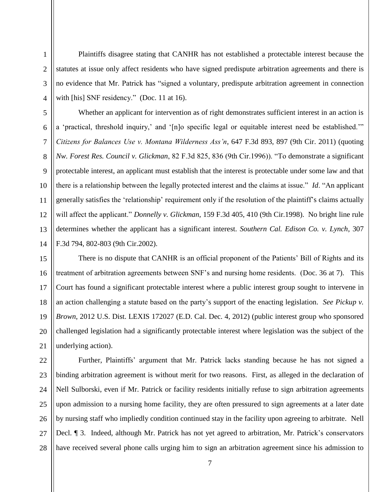Plaintiffs disagree stating that CANHR has not established a protectable interest because the statutes at issue only affect residents who have signed predispute arbitration agreements and there is no evidence that Mr. Patrick has "signed a voluntary, predispute arbitration agreement in connection with [his] SNF residency." (Doc. 11 at 16).

Whether an applicant for intervention as of right demonstrates sufficient interest in an action is a 'practical, threshold inquiry,' and '[n]o specific legal or equitable interest need be established.'" *Citizens for Balances Use v. Montana Wilderness Ass'n*, 647 F.3d 893, 897 (9th Cir. 2011) (quoting *Nw. Forest Res. Council v. Glickman*, 82 F.3d 825, 836 (9th Cir.1996)). "To demonstrate a significant protectable interest, an applicant must establish that the interest is protectable under some law and that there is a relationship between the legally protected interest and the claims at issue." *Id*. "An applicant generally satisfies the 'relationship' requirement only if the resolution of the plaintiff's claims actually will affect the applicant." *Donnelly v. Glickman*, 159 F.3d 405, 410 (9th Cir.1998). No bright line rule determines whether the applicant has a significant interest. *Southern Cal. Edison Co. v. Lynch*, 307 F.3d 794, 802-803 (9th Cir.2002).

There is no dispute that CANHR is an official proponent of the Patients' Bill of Rights and its treatment of arbitration agreements between SNF's and nursing home residents. (Doc. 36 at 7). This Court has found a significant protectable interest where a public interest group sought to intervene in an action challenging a statute based on the party's support of the enacting legislation. *See Pickup v. Brown*, 2012 U.S. Dist. LEXIS 172027 (E.D. Cal. Dec. 4, 2012) (public interest group who sponsored challenged legislation had a significantly protectable interest where legislation was the subject of the underlying action).

28 Further, Plaintiffs' argument that Mr. Patrick lacks standing because he has not signed a binding arbitration agreement is without merit for two reasons. First, as alleged in the declaration of Nell Sulborski, even if Mr. Patrick or facility residents initially refuse to sign arbitration agreements upon admission to a nursing home facility, they are often pressured to sign agreements at a later date by nursing staff who impliedly condition continued stay in the facility upon agreeing to arbitrate. Nell Decl. ¶ 3. Indeed, although Mr. Patrick has not yet agreed to arbitration, Mr. Patrick's conservators have received several phone calls urging him to sign an arbitration agreement since his admission to

1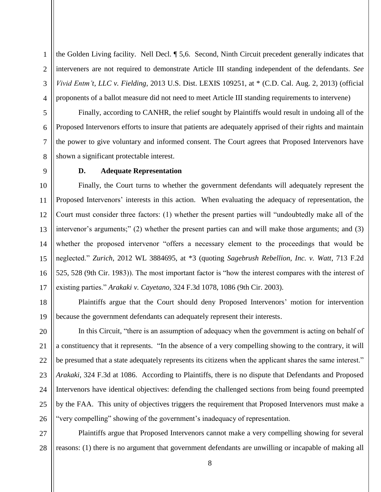1 2 3 4 the Golden Living facility. Nell Decl. ¶ 5,6. Second, Ninth Circuit precedent generally indicates that interveners are not required to demonstrate Article III standing independent of the defendants. *See Vivid Entm't, LLC v. Fielding,* 2013 U.S. Dist. LEXIS 109251, at \* (C.D. Cal. Aug. 2, 2013) (official proponents of a ballot measure did not need to meet Article III standing requirements to intervene)

Finally, according to CANHR, the relief sought by Plaintiffs would result in undoing all of the Proposed Intervenors efforts to insure that patients are adequately apprised of their rights and maintain the power to give voluntary and informed consent. The Court agrees that Proposed Intervenors have shown a significant protectable interest.

### **D. Adequate Representation**

Finally, the Court turns to whether the government defendants will adequately represent the Proposed Intervenors' interests in this action. When evaluating the adequacy of representation, the Court must consider three factors: (1) whether the present parties will "undoubtedly make all of the intervenor's arguments;" (2) whether the present parties can and will make those arguments; and (3) whether the proposed intervenor "offers a necessary element to the proceedings that would be neglected." *Zurich*, 2012 WL 3884695, at \*3 (quoting *Sagebrush Rebellion, Inc. v. Watt*, 713 F.2d 525, 528 (9th Cir. 1983)). The most important factor is "how the interest compares with the interest of existing parties." *Arakaki v. Cayetano*, 324 F.3d 1078, 1086 (9th Cir. 2003).

Plaintiffs argue that the Court should deny Proposed Intervenors' motion for intervention because the government defendants can adequately represent their interests.

In this Circuit, "there is an assumption of adequacy when the government is acting on behalf of a constituency that it represents. "In the absence of a very compelling showing to the contrary, it will be presumed that a state adequately represents its citizens when the applicant shares the same interest." *Arakaki,* 324 F.3d at 1086. According to Plaintiffs, there is no dispute that Defendants and Proposed Intervenors have identical objectives: defending the challenged sections from being found preempted by the FAA. This unity of objectives triggers the requirement that Proposed Intervenors must make a "very compelling" showing of the government's inadequacy of representation.

28 Plaintiffs argue that Proposed Intervenors cannot make a very compelling showing for several reasons: (1) there is no argument that government defendants are unwilling or incapable of making all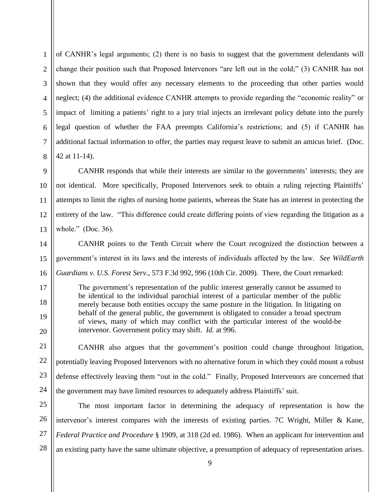3 8 of CANHR's legal arguments; (2) there is no basis to suggest that the government defendants will change their position such that Proposed Intervenors "are left out in the cold;" (3) CANHR has not shown that they would offer any necessary elements to the proceeding that other parties would neglect; (4) the additional evidence CANHR attempts to provide regarding the "economic reality" or impact of limiting a patients' right to a jury trial injects an irrelevant policy debate into the purely legal question of whether the FAA preempts California's restrictions; and (5) if CANHR has additional factual information to offer, the parties may request leave to submit an amicus brief. (Doc. 42 at 11-14).

1

2

4

5

6

7

9

11

17

18

19

20

10 12 13 CANHR responds that while their interests are similar to the governments' interests; they are not identical. More specifically, Proposed Intervenors seek to obtain a ruling rejecting Plaintiffs' attempts to limit the rights of nursing home patients, whereas the State has an interest in protecting the entirety of the law. "This difference could create differing points of view regarding the litigation as a whole." (Doc. 36).

14 15 16 CANHR points to the Tenth Circuit where the Court recognized the distinction between a government's interest in its laws and the interests of individuals affected by the law. *See WildEarth Guardians v. U.S. Forest Serv*., 573 F.3d 992, 996 (10th Cir. 2009). There, the Court remarked:

The government's representation of the public interest generally cannot be assumed to be identical to the individual parochial interest of a particular member of the public merely because both entities occupy the same posture in the litigation. In litigating on behalf of the general public, the government is obligated to consider a broad spectrum of views, many of which may conflict with the particular interest of the would-be intervenor. Government policy may shift. *Id.* at 996.

21 22 23 24 CANHR also argues that the government's position could change throughout litigation, potentially leaving Proposed Intervenors with no alternative forum in which they could mount a robust defense effectively leaving them "out in the cold." Finally, Proposed Intervenors are concerned that the government may have limited resources to adequately address Plaintiffs' suit.

25 26 27 28 The most important factor in determining the adequacy of representation is how the intervenor's interest compares with the interests of existing parties. 7C Wright, Miller & Kane, *Federal Practice and Procedure* § 1909, at 318 (2d ed. 1986). When an applicant for intervention and an existing party have the same ultimate objective, a presumption of adequacy of representation arises.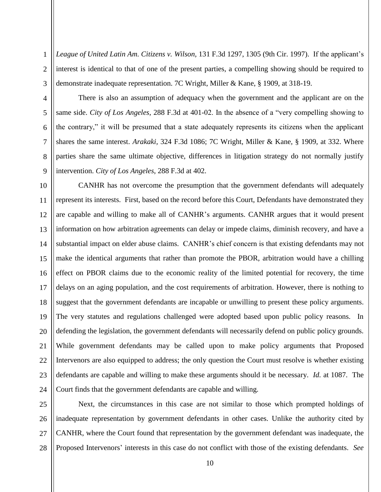1 2 *League of United Latin Am. Citizens v. Wilson,* 131 F.3d 1297, 1305 (9th Cir. 1997). If the applicant's interest is identical to that of one of the present parties, a compelling showing should be required to demonstrate inadequate representation. 7C Wright, Miller & Kane, § 1909, at 318-19.

There is also an assumption of adequacy when the government and the applicant are on the same side. *City of Los Angeles*, 288 F.3d at 401-02. In the absence of a "very compelling showing to the contrary," it will be presumed that a state adequately represents its citizens when the applicant shares the same interest. *Arakaki,* 324 F.3d 1086; 7C Wright, Miller & Kane, § 1909, at 332. Where parties share the same ultimate objective, differences in litigation strategy do not normally justify intervention. *City of Los Angeles*, 288 F.3d at 402.

24 CANHR has not overcome the presumption that the government defendants will adequately represent its interests. First, based on the record before this Court, Defendants have demonstrated they are capable and willing to make all of CANHR's arguments. CANHR argues that it would present information on how arbitration agreements can delay or impede claims, diminish recovery, and have a substantial impact on elder abuse claims. CANHR's chief concern is that existing defendants may not make the identical arguments that rather than promote the PBOR, arbitration would have a chilling effect on PBOR claims due to the economic reality of the limited potential for recovery, the time delays on an aging population, and the cost requirements of arbitration. However, there is nothing to suggest that the government defendants are incapable or unwilling to present these policy arguments. The very statutes and regulations challenged were adopted based upon public policy reasons. In defending the legislation, the government defendants will necessarily defend on public policy grounds. While government defendants may be called upon to make policy arguments that Proposed Intervenors are also equipped to address; the only question the Court must resolve is whether existing defendants are capable and willing to make these arguments should it be necessary. *Id.* at 1087. The Court finds that the government defendants are capable and willing.

25 26 27 Next, the circumstances in this case are not similar to those which prompted holdings of inadequate representation by government defendants in other cases. Unlike the authority cited by CANHR, where the Court found that representation by the government defendant was inadequate, the Proposed Intervenors' interests in this case do not conflict with those of the existing defendants. *See*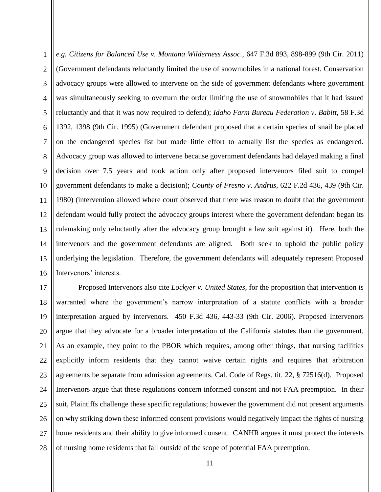1 2 3 4 5 6 7 8 9 10 11 12 13 14 15 16 *e.g. Citizens for Balanced Use v. Montana Wilderness Assoc.,* 647 F.3d 893, 898-899 (9th Cir. 2011) (Government defendants reluctantly limited the use of snowmobiles in a national forest. Conservation advocacy groups were allowed to intervene on the side of government defendants where government was simultaneously seeking to overturn the order limiting the use of snowmobiles that it had issued reluctantly and that it was now required to defend); *Idaho Farm Bureau Federation v*. *Babitt*, 58 F.3d 1392, 1398 (9th Cir. 1995) (Government defendant proposed that a certain species of snail be placed on the endangered species list but made little effort to actually list the species as endangered. Advocacy group was allowed to intervene because government defendants had delayed making a final decision over 7.5 years and took action only after proposed intervenors filed suit to compel government defendants to make a decision); *County of Fresno v*. *Andrus*, 622 F.2d 436, 439 (9th Cir. 1980) (intervention allowed where court observed that there was reason to doubt that the government defendant would fully protect the advocacy groups interest where the government defendant began its rulemaking only reluctantly after the advocacy group brought a law suit against it). Here, both the intervenors and the government defendants are aligned. Both seek to uphold the public policy underlying the legislation. Therefore, the government defendants will adequately represent Proposed Intervenors' interests.

17 18 19 20 21 22 23 24 25 26 27 28 Proposed Intervenors also cite *Lockyer v. United States*, for the proposition that intervention is warranted where the government's narrow interpretation of a statute conflicts with a broader interpretation argued by intervenors. 450 F.3d 436, 443-33 (9th Cir. 2006). Proposed Intervenors argue that they advocate for a broader interpretation of the California statutes than the government. As an example, they point to the PBOR which requires, among other things, that nursing facilities explicitly inform residents that they cannot waive certain rights and requires that arbitration agreements be separate from admission agreements. Cal. Code of Regs. tit. 22, § 72516(d). Proposed Intervenors argue that these regulations concern informed consent and not FAA preemption. In their suit, Plaintiffs challenge these specific regulations; however the government did not present arguments on why striking down these informed consent provisions would negatively impact the rights of nursing home residents and their ability to give informed consent. CANHR argues it must protect the interests of nursing home residents that fall outside of the scope of potential FAA preemption.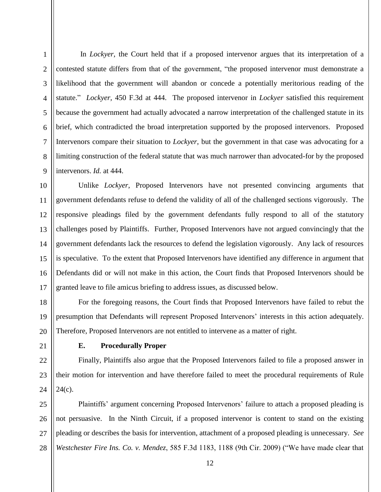1

2

3

4

5

6

7

8

9

In *Lockyer*, the Court held that if a proposed intervenor argues that its interpretation of a contested statute differs from that of the government, "the proposed intervenor must demonstrate a likelihood that the government will abandon or concede a potentially meritorious reading of the statute." *Lockyer,* 450 F.3d at 444. The proposed intervenor in *Lockyer* satisfied this requirement because the government had actually advocated a narrow interpretation of the challenged statute in its brief, which contradicted the broad interpretation supported by the proposed intervenors. Proposed Intervenors compare their situation to *Lockyer*, but the government in that case was advocating for a limiting construction of the federal statute that was much narrower than advocated-for by the proposed intervenors. *Id.* at 444.

10 11 12 13 14 15 16 17 Unlike *Lockyer*, Proposed Intervenors have not presented convincing arguments that government defendants refuse to defend the validity of all of the challenged sections vigorously. The responsive pleadings filed by the government defendants fully respond to all of the statutory challenges posed by Plaintiffs. Further, Proposed Intervenors have not argued convincingly that the government defendants lack the resources to defend the legislation vigorously. Any lack of resources is speculative. To the extent that Proposed Intervenors have identified any difference in argument that Defendants did or will not make in this action, the Court finds that Proposed Intervenors should be granted leave to file amicus briefing to address issues, as discussed below.

18 19 20 For the foregoing reasons, the Court finds that Proposed Intervenors have failed to rebut the presumption that Defendants will represent Proposed Intervenors' interests in this action adequately. Therefore, Proposed Intervenors are not entitled to intervene as a matter of right.

21

22

23

24

### **E. Procedurally Proper**

Finally, Plaintiffs also argue that the Proposed Intervenors failed to file a proposed answer in their motion for intervention and have therefore failed to meet the procedural requirements of Rule  $24(c)$ .

25 26 27 28 Plaintiffs' argument concerning Proposed Intervenors' failure to attach a proposed pleading is not persuasive. In the Ninth Circuit, if a proposed intervenor is content to stand on the existing pleading or describes the basis for intervention, attachment of a proposed pleading is unnecessary. *See Westchester Fire Ins. Co. v. Mendez*, 585 F.3d 1183, 1188 (9th Cir. 2009) ("We have made clear that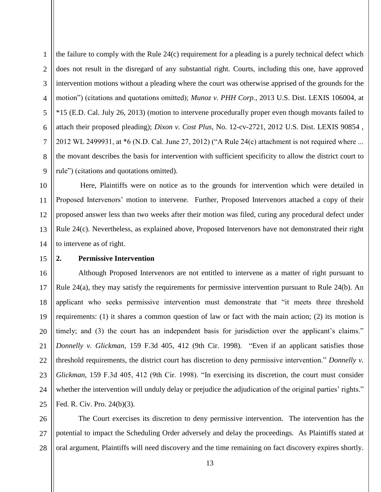3 4 6 the failure to comply with the Rule 24(c) requirement for a pleading is a purely technical defect which does not result in the disregard of any substantial right. Courts, including this one, have approved intervention motions without a pleading where the court was otherwise apprised of the grounds for the motion") (citations and quotations omitted); *Munoz v. PHH Corp.*, 2013 U.S. Dist. LEXIS 106004, at \*15 (E.D. Cal. July 26, 2013) (motion to intervene procedurally proper even though movants failed to attach their proposed pleading); *Dixon v. Cost Plus*, No. 12-cv-2721, 2012 U.S. Dist. LEXIS 90854 , 2012 WL 2499931, at \*6 (N.D. Cal. June 27, 2012) ("A Rule 24(c) attachment is not required where ... the movant describes the basis for intervention with sufficient specificity to allow the district court to rule") (citations and quotations omitted).

1

2

5

Here, Plaintiffs were on notice as to the grounds for intervention which were detailed in Proposed Intervenors' motion to intervene. Further, Proposed Intervenors attached a copy of their proposed answer less than two weeks after their motion was filed, curing any procedural defect under Rule 24(c). Nevertheless, as explained above, Proposed Intervenors have not demonstrated their right to intervene as of right.

#### **2. Permissive Intervention**

25 Although Proposed Intervenors are not entitled to intervene as a matter of right pursuant to Rule 24(a), they may satisfy the requirements for permissive intervention pursuant to Rule 24(b). An applicant who seeks permissive intervention must demonstrate that "it meets three threshold requirements: (1) it shares a common question of law or fact with the main action; (2) its motion is timely; and (3) the court has an independent basis for jurisdiction over the applicant's claims." *Donnelly v. Glickman*, 159 F.3d 405, 412 (9th Cir. 1998). "Even if an applicant satisfies those threshold requirements, the district court has discretion to deny permissive intervention." *Donnelly v. Glickman*, 159 F.3d 405, 412 (9th Cir. 1998). "In exercising its discretion, the court must consider whether the intervention will unduly delay or prejudice the adjudication of the original parties' rights." Fed. R. Civ. Pro. 24(b)(3).

26 27 28 The Court exercises its discretion to deny permissive intervention. The intervention has the potential to impact the Scheduling Order adversely and delay the proceedings. As Plaintiffs stated at oral argument, Plaintiffs will need discovery and the time remaining on fact discovery expires shortly.